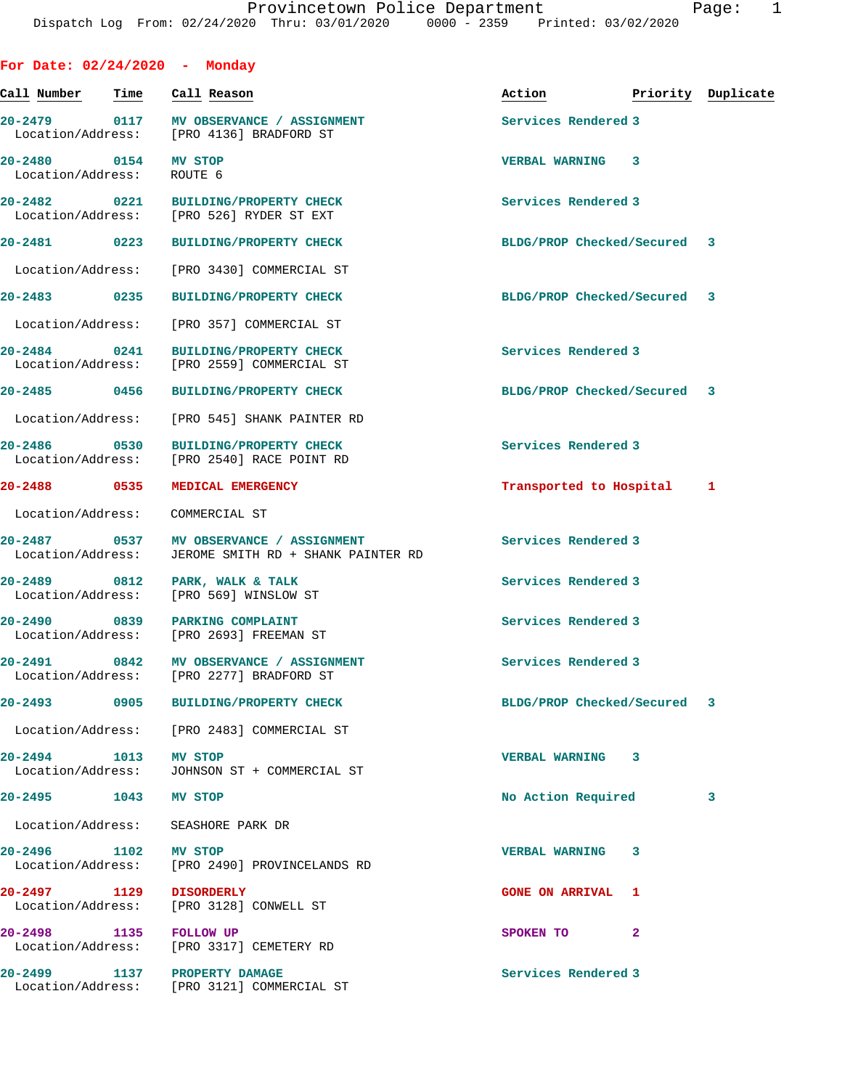| For Date: $02/24/2020 -$ Monday   |      |                                                                            |                             |                    |
|-----------------------------------|------|----------------------------------------------------------------------------|-----------------------------|--------------------|
| Call Number                       | Time | Call Reason                                                                | Action                      | Priority Duplicate |
| 20-2479 0117<br>Location/Address: |      | MV OBSERVANCE / ASSIGNMENT<br>[PRO 4136] BRADFORD ST                       | Services Rendered 3         |                    |
| 20-2480 0154<br>Location/Address: |      | MV STOP<br>ROUTE 6                                                         | <b>VERBAL WARNING</b><br>3  |                    |
| 20-2482 0221                      |      | <b>BUILDING/PROPERTY CHECK</b><br>Location/Address: [PRO 526] RYDER ST EXT | Services Rendered 3         |                    |
| 20-2481 0223                      |      | <b>BUILDING/PROPERTY CHECK</b>                                             | BLDG/PROP Checked/Secured 3 |                    |
| Location/Address:                 |      | [PRO 3430] COMMERCIAL ST                                                   |                             |                    |
| 20-2483 0235                      |      | <b>BUILDING/PROPERTY CHECK</b>                                             | BLDG/PROP Checked/Secured   | 3                  |
| Location/Address:                 |      | [PRO 357] COMMERCIAL ST                                                    |                             |                    |
| 20-2484 0241<br>Location/Address: |      | <b>BUILDING/PROPERTY CHECK</b><br>[PRO 2559] COMMERCIAL ST                 | Services Rendered 3         |                    |
| 20-2485 0456                      |      | <b>BUILDING/PROPERTY CHECK</b>                                             | BLDG/PROP Checked/Secured 3 |                    |
| Location/Address:                 |      | [PRO 545] SHANK PAINTER RD                                                 |                             |                    |
| $20 - 2486$<br>Location/Address:  | 0530 | <b>BUILDING/PROPERTY CHECK</b><br>[PRO 2540] RACE POINT RD                 | Services Rendered 3         |                    |
| $20 - 2488$                       | 0535 | MEDICAL EMERGENCY                                                          | Transported to Hospital     | 1                  |
| Location/Address:                 |      | COMMERCIAL ST                                                              |                             |                    |
| 20-2487 0537<br>Location/Address: |      | MV OBSERVANCE / ASSIGNMENT<br>JEROME SMITH RD + SHANK PAINTER RD           | Services Rendered 3         |                    |
| 20-2489 0812<br>Location/Address: |      | PARK, WALK & TALK<br>[PRO 569] WINSLOW ST                                  | Services Rendered 3         |                    |
| $20 - 2490$<br>Location/Address:  | 0839 | PARKING COMPLAINT<br>[PRO 2693] FREEMAN ST                                 | Services Rendered 3         |                    |
| $20 - 2491$<br>Location/Address:  | 0842 | MV OBSERVANCE / ASSIGNMENT<br>[PRO 2277] BRADFORD ST                       | Services Rendered 3         |                    |
| $20 - 2493$                       | 0905 | <b>BUILDING/PROPERTY CHECK</b>                                             | BLDG/PROP Checked/Secured   | 3                  |
|                                   |      | Location/Address: [PRO 2483] COMMERCIAL ST                                 |                             |                    |
| 20-2494 1013<br>Location/Address: |      | <b>MV STOP</b><br>JOHNSON ST + COMMERCIAL ST                               | VERBAL WARNING 3            |                    |
| 20-2495 1043                      |      | MV STOP                                                                    | No Action Required          | 3                  |
| Location/Address:                 |      | SEASHORE PARK DR                                                           |                             |                    |
| 20-2496 1102<br>Location/Address: |      | MV STOP<br>[PRO 2490] PROVINCELANDS RD                                     | <b>VERBAL WARNING</b><br>3  |                    |
| 20-2497 1129                      |      | <b>DISORDERLY</b><br>Location/Address: [PRO 3128] CONWELL ST               | <b>GONE ON ARRIVAL 1</b>    |                    |
| 20-2498 1135 FOLLOW UP            |      | Location/Address: [PRO 3317] CEMETERY RD                                   | SPOKEN TO<br>2              |                    |
|                                   |      | 20-2499 1137 PROPERTY DAMAGE<br>Location/Address: [PRO 3121] COMMERCIAL ST | Services Rendered 3         |                    |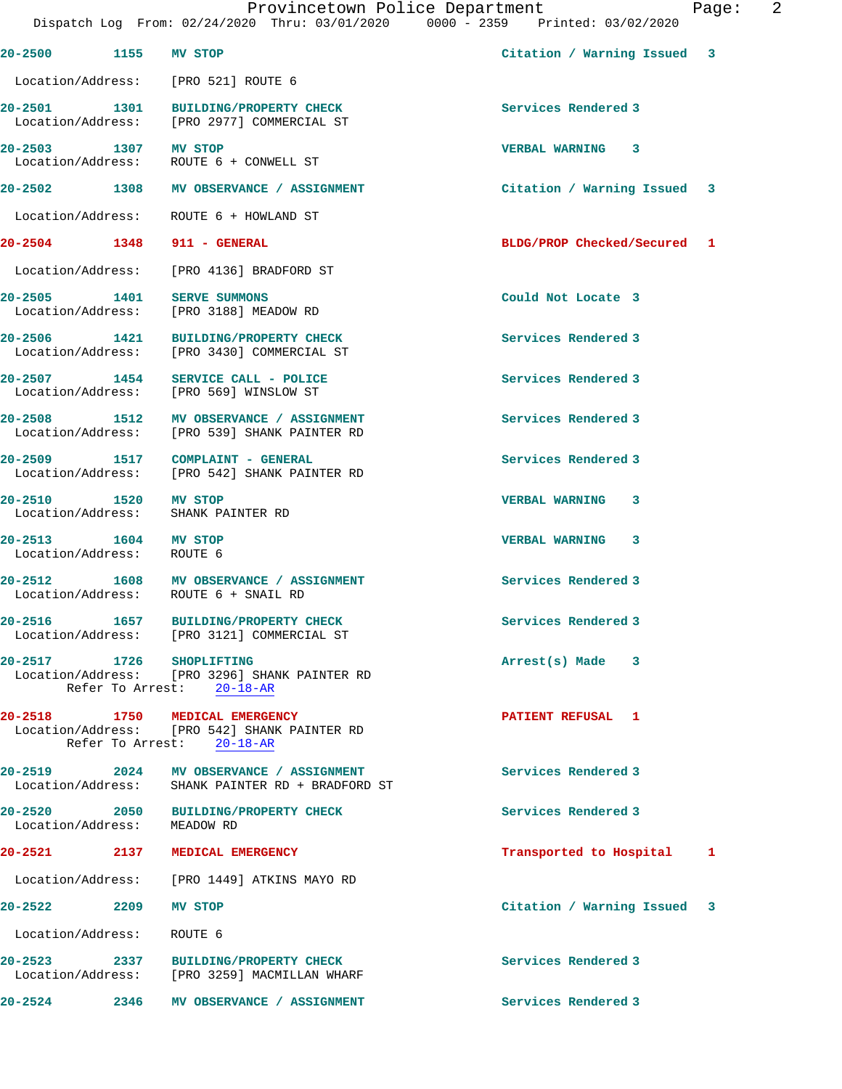| 20-2500 1155 MV STOP                      |      |                                                                                                             | Citation / Warning Issued 3 |              |
|-------------------------------------------|------|-------------------------------------------------------------------------------------------------------------|-----------------------------|--------------|
|                                           |      | Location/Address: [PRO 521] ROUTE 6                                                                         |                             |              |
|                                           |      | 20-2501 1301 BUILDING/PROPERTY CHECK<br>Location/Address: [PRO 2977] COMMERCIAL ST                          | Services Rendered 3         |              |
| 20-2503 1307 MV STOP                      |      | Location/Address: ROUTE 6 + CONWELL ST                                                                      | VERBAL WARNING 3            |              |
|                                           |      | 20-2502 1308 MV OBSERVANCE / ASSIGNMENT                                                                     | Citation / Warning Issued 3 |              |
|                                           |      | Location/Address:    ROUTE 6 + HOWLAND ST                                                                   |                             |              |
| 20-2504 1348 911 - GENERAL                |      |                                                                                                             | BLDG/PROP Checked/Secured 1 |              |
|                                           |      | Location/Address: [PRO 4136] BRADFORD ST                                                                    |                             |              |
| 20-2505 1401                              |      | <b>SERVE SUMMONS</b><br>Location/Address: [PRO 3188] MEADOW RD                                              | Could Not Locate 3          |              |
| 20-2506 1421                              |      | BUILDING/PROPERTY CHECK<br>Location/Address: [PRO 3430] COMMERCIAL ST                                       | Services Rendered 3         |              |
|                                           |      | 20-2507 1454 SERVICE CALL - POLICE<br>Location/Address: [PRO 569] WINSLOW ST                                | Services Rendered 3         |              |
|                                           |      | 20-2508 1512 MV OBSERVANCE / ASSIGNMENT<br>Location/Address: [PRO 539] SHANK PAINTER RD                     | Services Rendered 3         |              |
|                                           |      | 20-2509 1517 COMPLAINT - GENERAL<br>Location/Address: [PRO 542] SHANK PAINTER RD                            | Services Rendered 3         |              |
| 20-2510 1520 MV STOP                      |      | Location/Address: SHANK PAINTER RD                                                                          | VERBAL WARNING 3            |              |
| 20-2513 1604 MV STOP<br>Location/Address: |      | ROUTE 6                                                                                                     | VERBAL WARNING 3            |              |
|                                           |      | 20-2512 1608 MV OBSERVANCE / ASSIGNMENT<br>Location/Address: ROUTE 6 + SNAIL RD                             | Services Rendered 3         |              |
|                                           |      | 20-2516 1657 BUILDING/PROPERTY CHECK<br>Location/Address: [PRO 3121] COMMERCIAL ST                          | Services Rendered 3         |              |
| $20 - 2517$                               | 1726 | <b>SHOPLIFTING</b><br>Location/Address: [PRO 3296] SHANK PAINTER RD<br>Refer To Arrest: 20-18-AR            | Arrest(s) Made<br>3         |              |
|                                           |      | 20-2518 1750 MEDICAL EMERGENCY<br>Location/Address: [PRO 542] SHANK PAINTER RD<br>Refer To Arrest: 20-18-AR | PATIENT REFUSAL 1           |              |
| 20-2519 2024<br>Location/Address:         |      | MV OBSERVANCE / ASSIGNMENT<br>SHANK PAINTER RD + BRADFORD ST                                                | Services Rendered 3         |              |
| 20-2520 2050<br>Location/Address:         |      | <b>BUILDING/PROPERTY CHECK</b><br>MEADOW RD                                                                 | Services Rendered 3         |              |
| $20 - 2521$                               |      | 2137 MEDICAL EMERGENCY                                                                                      | Transported to Hospital     | $\mathbf{1}$ |
|                                           |      | Location/Address: [PRO 1449] ATKINS MAYO RD                                                                 |                             |              |
| 20-2522                                   | 2209 | MV STOP                                                                                                     | Citation / Warning Issued 3 |              |
| Location/Address:                         |      | ROUTE 6                                                                                                     |                             |              |
| $20 - 2523$<br>Location/Address:          | 2337 | <b>BUILDING/PROPERTY CHECK</b><br>[PRO 3259] MACMILLAN WHARF                                                | Services Rendered 3         |              |
| 20-2524                                   | 2346 | MV OBSERVANCE / ASSIGNMENT                                                                                  | Services Rendered 3         |              |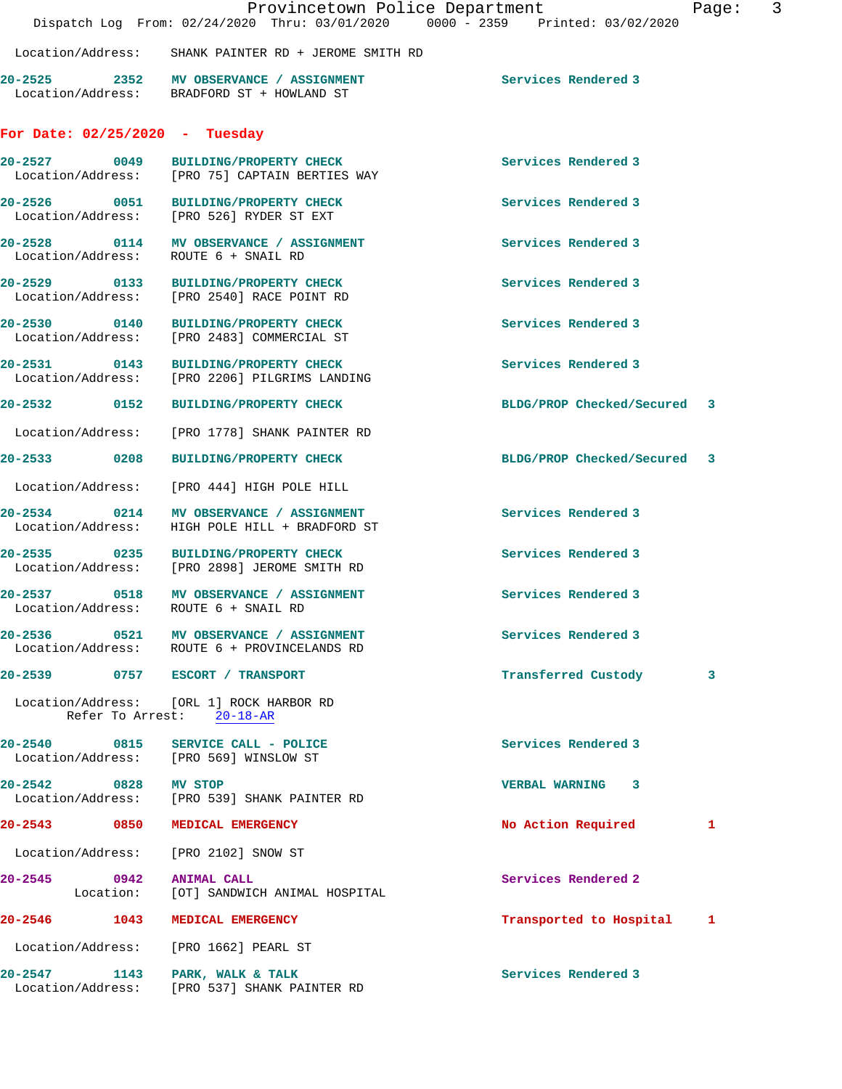|                      |                                                                                           | Provincetown Police Department<br>Dispatch Log From: 02/24/2020 Thru: 03/01/2020 0000 - 2359 Printed: 03/02/2020 | 3<br>Page: |
|----------------------|-------------------------------------------------------------------------------------------|------------------------------------------------------------------------------------------------------------------|------------|
|                      | Location/Address: SHANK PAINTER RD + JEROME SMITH RD                                      |                                                                                                                  |            |
|                      | 20-2525 2352 MV OBSERVANCE / ASSIGNMENT<br>Location/Address: BRADFORD ST + HOWLAND ST     | Services Rendered 3                                                                                              |            |
|                      | For Date: $02/25/2020 - Tuesday$                                                          |                                                                                                                  |            |
| 20-2527 0049         | BUILDING/PROPERTY CHECK<br>Location/Address: [PRO 75] CAPTAIN BERTIES WAY                 | Services Rendered 3                                                                                              |            |
|                      | 20-2526 0051 BUILDING/PROPERTY CHECK<br>Location/Address: [PRO 526] RYDER ST EXT          | Services Rendered 3                                                                                              |            |
|                      | 20-2528 0114 MV OBSERVANCE / ASSIGNMENT<br>Location/Address: ROUTE 6 + SNAIL RD           | Services Rendered 3                                                                                              |            |
|                      | 20-2529 0133 BUILDING/PROPERTY CHECK<br>Location/Address: [PRO 2540] RACE POINT RD        | Services Rendered 3                                                                                              |            |
|                      | 20-2530 0140 BUILDING/PROPERTY CHECK<br>Location/Address: [PRO 2483] COMMERCIAL ST        | Services Rendered 3                                                                                              |            |
|                      | 20-2531 0143 BUILDING/PROPERTY CHECK<br>Location/Address: [PRO 2206] PILGRIMS LANDING     | Services Rendered 3                                                                                              |            |
| 20-2532 0152         | <b>BUILDING/PROPERTY CHECK</b>                                                            | BLDG/PROP Checked/Secured 3                                                                                      |            |
|                      | Location/Address: [PRO 1778] SHANK PAINTER RD                                             |                                                                                                                  |            |
| 20-2533 0208         | <b>BUILDING/PROPERTY CHECK</b>                                                            | BLDG/PROP Checked/Secured                                                                                        | 3          |
|                      | Location/Address: [PRO 444] HIGH POLE HILL                                                |                                                                                                                  |            |
|                      | 20-2534 0214 MV OBSERVANCE / ASSIGNMENT<br>Location/Address: HIGH POLE HILL + BRADFORD ST | Services Rendered 3                                                                                              |            |
|                      | 20-2535 0235 BUILDING/PROPERTY CHECK<br>Location/Address: [PRO 2898] JEROME SMITH RD      | Services Rendered 3                                                                                              |            |
|                      | 20-2537 0518 MV OBSERVANCE / ASSIGNMENT<br>Location/Address: ROUTE 6 + SNAIL RD           | Services Rendered 3                                                                                              |            |
|                      | 20-2536 0521 MV OBSERVANCE / ASSIGNMENT<br>Location/Address: ROUTE 6 + PROVINCELANDS RD   | Services Rendered 3                                                                                              |            |
|                      | 20-2539 0757 ESCORT / TRANSPORT                                                           | Transferred Custody                                                                                              | 3          |
|                      | Location/Address: [ORL 1] ROCK HARBOR RD<br>Refer To Arrest: 20-18-AR                     |                                                                                                                  |            |
|                      | 20-2540 0815 SERVICE CALL - POLICE<br>Location/Address: [PRO 569] WINSLOW ST              | Services Rendered 3                                                                                              |            |
| 20-2542 0828 MV STOP | Location/Address: [PRO 539] SHANK PAINTER RD                                              | VERBAL WARNING 3                                                                                                 |            |
|                      | 20-2543 0850 MEDICAL EMERGENCY                                                            | No Action Required                                                                                               | 1          |
| Location/Address:    | [PRO 2102] SNOW ST                                                                        |                                                                                                                  |            |
| 20-2545 0942         | <b>ANIMAL CALL</b><br>Location: [OT] SANDWICH ANIMAL HOSPITAL                             | Services Rendered 2                                                                                              |            |
| 20-2546 1043         | MEDICAL EMERGENCY                                                                         | Transported to Hospital                                                                                          | 1          |
|                      | Location/Address: [PRO 1662] PEARL ST                                                     |                                                                                                                  |            |
|                      | 20-2547 1143 PARK, WALK & TALK<br>Location/Address: [PRO 537] SHANK PAINTER RD            | Services Rendered 3                                                                                              |            |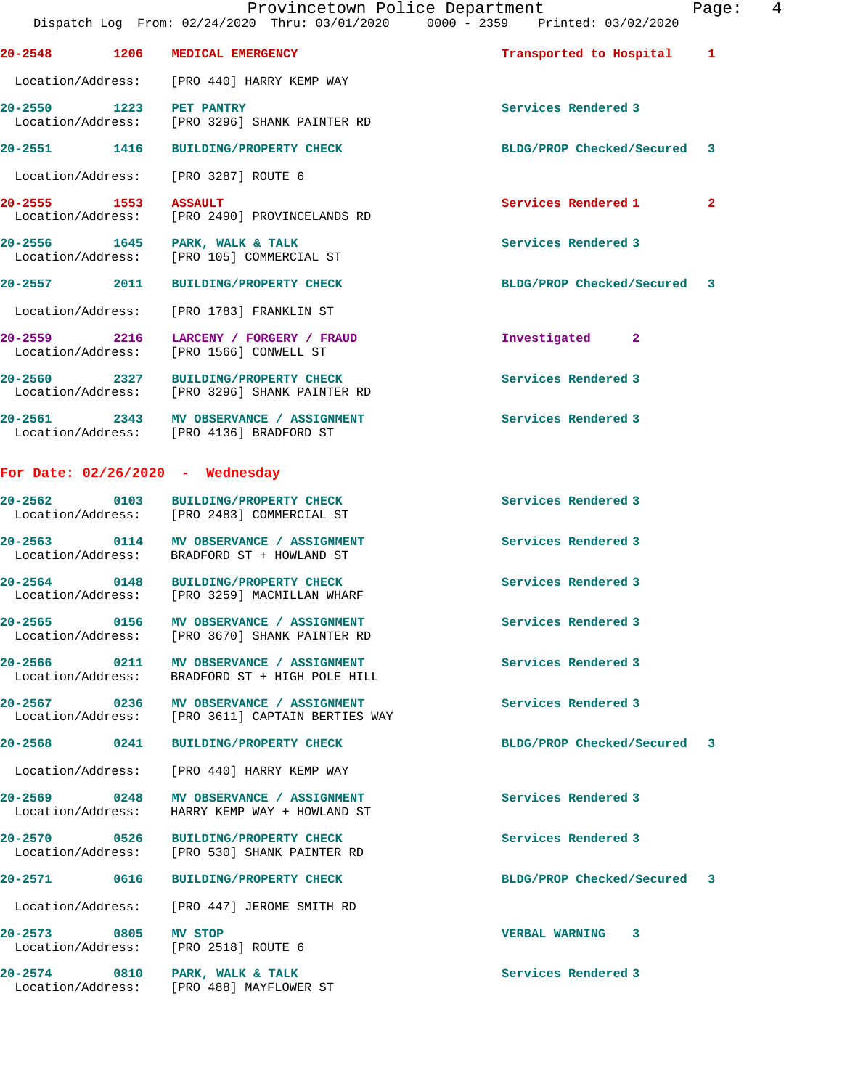**20-2548 1206 MEDICAL EMERGENCY Transported to Hospital 1** Location/Address: [PRO 440] HARRY KEMP WAY **20-2550 1223 PET PANTRY Services Rendered 3**  Location/Address: [PRO 3296] SHANK PAINTER RD **20-2551 1416 BUILDING/PROPERTY CHECK BLDG/PROP Checked/Secured 3** Location/Address: [PRO 3287] ROUTE 6 **20-2555** 1553 ASSAULT 20-2555 Location/Address: [PRO 2490] PROVINCELANDS RD **20-2556 1645 PARK, WALK & TALK Services Rendered 3**  Location/Address: [PRO 105] COMMERCIAL ST **20-2557 2011 BUILDING/PROPERTY CHECK BLDG/PROP Checked/Secured 3** Location/Address: [PRO 1783] FRANKLIN ST **20-2559 2216 LARCENY / FORGERY / FRAUD Investigated 2**  Location/Address: [PRO 1566] CONWELL ST 20-2560 2327 BUILDING/PROPERTY CHECK Services Rendered 3<br>
Location/Address: [PRO 3296] SHANK PAINTER RD [PRO 3296] SHANK PAINTER RD **20-2561 2343 MV OBSERVANCE / ASSIGNMENT Services Rendered 3**  Location/Address: [PRO 4136] BRADFORD ST **For Date: 02/26/2020 - Wednesday 20-2562 0103 BUILDING/PROPERTY CHECK Services Rendered 3**  Location/Address: [PRO 2483] COMMERCIAL ST **20-2563 0114 MV OBSERVANCE / ASSIGNMENT Services Rendered 3**  Location/Address: BRADFORD ST + HOWLAND ST **20-2564 0148 BUILDING/PROPERTY CHECK Services Rendered 3**  [PRO 3259] MACMILLAN WHARF **20-2565 0156 MV OBSERVANCE / ASSIGNMENT Services Rendered 3**  Location/Address: [PRO 3670] SHANK PAINTER RD 20-2566 0211 MV OBSERVANCE / ASSIGNMENT **Services Rendered 3**  Location/Address: BRADFORD ST + HIGH POLE HILL **20-2567 0236 MV OBSERVANCE / ASSIGNMENT Services Rendered 3**  [PRO 3611] CAPTAIN BERTIES WAY **20-2568 0241 BUILDING/PROPERTY CHECK BLDG/PROP Checked/Secured 3** Location/Address: [PRO 440] HARRY KEMP WAY **20-2569 0248 MV OBSERVANCE / ASSIGNMENT Services Rendered 3**  HARRY KEMP WAY + HOWLAND ST **20-2570 0526 BUILDING/PROPERTY CHECK Services Rendered 3**  Location/Address: [PRO 530] SHANK PAINTER RD **20-2571 0616 BUILDING/PROPERTY CHECK BLDG/PROP Checked/Secured 3** Location/Address: [PRO 447] JEROME SMITH RD **20-2573 0805 MV STOP VERBAL WARNING 3**  Location/Address: 20-2574 0810 PARK, WALK & TALK **Services Rendered 3** Location/Address: [PRO 488] MAYFLOWER ST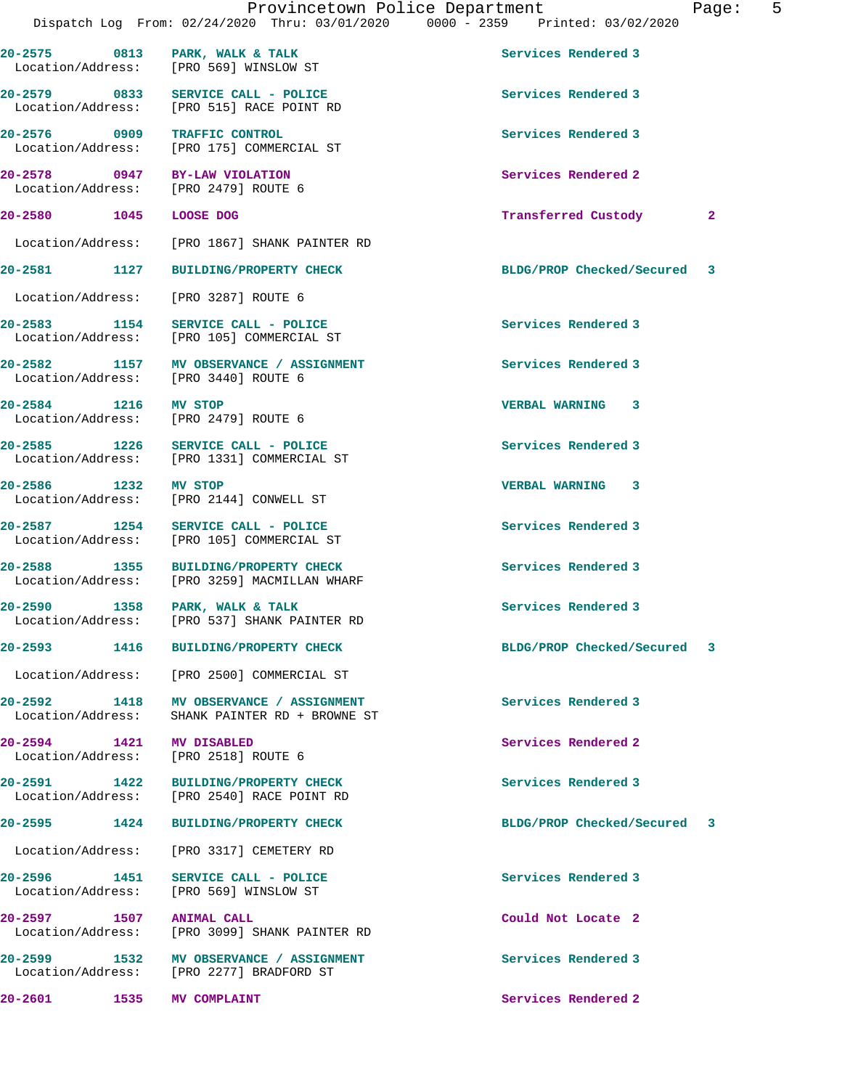|                                   | Dispatch Log From: 02/24/2020 Thru: 03/01/2020 0000 - 2359 Printed: 03/02/2020      | Provincetown Police Department | Page:        | 5 |
|-----------------------------------|-------------------------------------------------------------------------------------|--------------------------------|--------------|---|
|                                   | 20-2575 0813 PARK, WALK & TALK<br>Location/Address: [PRO 569] WINSLOW ST            | Services Rendered 3            |              |   |
|                                   | 20-2579 0833 SERVICE CALL - POLICE<br>Location/Address: [PRO 515] RACE POINT RD     | Services Rendered 3            |              |   |
|                                   | 20-2576 0909 TRAFFIC CONTROL<br>Location/Address: [PRO 175] COMMERCIAL ST           | Services Rendered 3            |              |   |
|                                   | 20-2578 0947 BY-LAW VIOLATION<br>Location/Address: [PRO 2479] ROUTE 6               | Services Rendered 2            |              |   |
| 20-2580 1045 LOOSE DOG            |                                                                                     | Transferred Custody            | $\mathbf{2}$ |   |
|                                   | Location/Address: [PRO 1867] SHANK PAINTER RD                                       |                                |              |   |
|                                   | 20-2581 1127 BUILDING/PROPERTY CHECK                                                | BLDG/PROP Checked/Secured 3    |              |   |
|                                   | Location/Address: [PRO 3287] ROUTE 6                                                |                                |              |   |
|                                   | 20-2583 1154 SERVICE CALL - POLICE<br>Location/Address: [PRO 105] COMMERCIAL ST     | Services Rendered 3            |              |   |
|                                   | 20-2582 1157 MV OBSERVANCE / ASSIGNMENT<br>Location/Address: [PRO 3440] ROUTE 6     | Services Rendered 3            |              |   |
| 20-2584 1216 MV STOP              | Location/Address: [PRO 2479] ROUTE 6                                                | <b>VERBAL WARNING 3</b>        |              |   |
|                                   | 20-2585 1226 SERVICE CALL - POLICE<br>Location/Address: [PRO 1331] COMMERCIAL ST    | Services Rendered 3            |              |   |
| 20-2586 1232 MV STOP              | Location/Address: [PRO 2144] CONWELL ST                                             | VERBAL WARNING 3               |              |   |
|                                   | 20-2587 1254 SERVICE CALL - POLICE<br>Location/Address: [PRO 105] COMMERCIAL ST     | Services Rendered 3            |              |   |
| 20-2588                           | 1355 BUILDING/PROPERTY CHECK<br>Location/Address: [PRO 3259] MACMILLAN WHARF        | Services Rendered 3            |              |   |
| 20-2590<br>1358                   | PARK, WALK & TALK<br>Location/Address: [PRO 537] SHANK PAINTER RD                   | Services Rendered 3            |              |   |
| 20-2593                           | 1416 BUILDING/PROPERTY CHECK                                                        | BLDG/PROP Checked/Secured 3    |              |   |
|                                   | Location/Address: [PRO 2500] COMMERCIAL ST                                          |                                |              |   |
| Location/Address:                 | 20-2592 1418 MV OBSERVANCE / ASSIGNMENT<br>SHANK PAINTER RD + BROWNE ST             | Services Rendered 3            |              |   |
| 20-2594 1421 MV DISABLED          | Location/Address: [PRO 2518] ROUTE 6                                                | Services Rendered 2            |              |   |
|                                   | 20-2591 1422 BUILDING/PROPERTY CHECK<br>Location/Address: [PRO 2540] RACE POINT RD  | Services Rendered 3            |              |   |
|                                   | 20-2595 1424 BUILDING/PROPERTY CHECK                                                | BLDG/PROP Checked/Secured 3    |              |   |
|                                   | Location/Address: [PRO 3317] CEMETERY RD                                            |                                |              |   |
|                                   | 20-2596 1451 SERVICE CALL - POLICE<br>Location/Address: [PRO 569] WINSLOW ST        | Services Rendered 3            |              |   |
| 20-2597 1507<br>Location/Address: | <b>ANIMAL CALL</b><br>[PRO 3099] SHANK PAINTER RD                                   | Could Not Locate 2             |              |   |
|                                   | 20-2599 1532 MV OBSERVANCE / ASSIGNMENT<br>Location/Address: [PRO 2277] BRADFORD ST | Services Rendered 3            |              |   |
| 1535<br>20-2601                   | <b>MV COMPLAINT</b>                                                                 | Services Rendered 2            |              |   |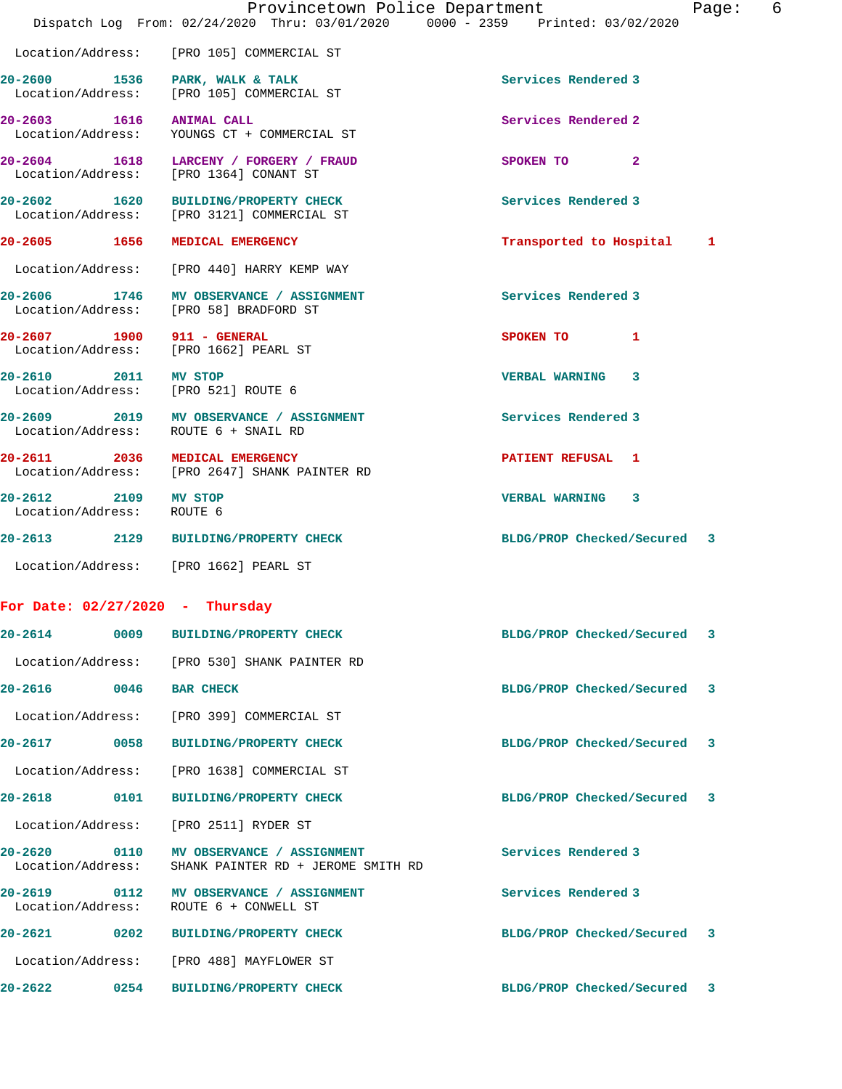|                                                             | Provincetown Police Department<br>Dispatch Log From: 02/24/2020 Thru: 03/01/2020 0000 - 2359 Printed: 03/02/2020 | 6<br>Page:                     |
|-------------------------------------------------------------|------------------------------------------------------------------------------------------------------------------|--------------------------------|
|                                                             | Location/Address: [PRO 105] COMMERCIAL ST                                                                        |                                |
| 20-2600 1536 PARK, WALK & TALK                              | Location/Address: [PRO 105] COMMERCIAL ST                                                                        | Services Rendered 3            |
| 20-2603 1616 ANIMAL CALL                                    | Location/Address: YOUNGS CT + COMMERCIAL ST                                                                      | Services Rendered 2            |
|                                                             | 20-2604 1618 LARCENY / FORGERY / FRAUD<br>Location/Address: [PRO 1364] CONANT ST                                 | SPOKEN TO 2                    |
|                                                             | 20-2602 1620 BUILDING/PROPERTY CHECK<br>Location/Address: [PRO 3121] COMMERCIAL ST                               | Services Rendered 3            |
| 20-2605 1656 MEDICAL EMERGENCY                              |                                                                                                                  | Transported to Hospital<br>1   |
|                                                             | Location/Address: [PRO 440] HARRY KEMP WAY                                                                       |                                |
|                                                             | 20-2606 1746 MV OBSERVANCE / ASSIGNMENT<br>Location/Address: [PRO 58] BRADFORD ST                                | Services Rendered 3            |
| 20-2607 1900 911 - GENERAL                                  | Location/Address: [PRO 1662] PEARL ST                                                                            | SPOKEN TO<br>1                 |
| 20-2610 2011 MV STOP<br>Location/Address: [PRO 521] ROUTE 6 |                                                                                                                  | VERBAL WARNING 3               |
|                                                             | 20-2609 2019 MV OBSERVANCE / ASSIGNMENT<br>Location/Address: ROUTE 6 + SNAIL RD                                  | Services Rendered 3            |
| 20-2611 2036 MEDICAL EMERGENCY                              | Location/Address: [PRO 2647] SHANK PAINTER RD                                                                    | <b>PATIENT REFUSAL 1</b>       |
| 20-2612 2109 MV STOP<br>Location/Address: ROUTE 6           |                                                                                                                  | VERBAL WARNING 3               |
|                                                             | 20-2613 2129 BUILDING/PROPERTY CHECK                                                                             | BLDG/PROP Checked/Secured 3    |
|                                                             | Location/Address: [PRO 1662] PEARL ST                                                                            |                                |
| For Date: $02/27/2020$ - Thursday                           |                                                                                                                  |                                |
| 20-2614<br>0009                                             | <b>BUILDING/PROPERTY CHECK</b>                                                                                   | BLDG/PROP Checked/Secured<br>3 |
| Location/Address:                                           | [PRO 530] SHANK PAINTER RD                                                                                       |                                |
| 20-2616<br>0046                                             | <b>BAR CHECK</b>                                                                                                 | BLDG/PROP Checked/Secured<br>3 |
| Location/Address:                                           | [PRO 399] COMMERCIAL ST                                                                                          |                                |
| 20-2617<br>0058                                             | <b>BUILDING/PROPERTY CHECK</b>                                                                                   | BLDG/PROP Checked/Secured<br>3 |
| Location/Address:                                           | [PRO 1638] COMMERCIAL ST                                                                                         |                                |
| 20-2618<br>0101                                             | <b>BUILDING/PROPERTY CHECK</b>                                                                                   | BLDG/PROP Checked/Secured<br>3 |
| Location/Address:                                           | [PRO 2511] RYDER ST                                                                                              |                                |
| 20-2620<br>0110<br>Location/Address:                        | MV OBSERVANCE / ASSIGNMENT<br>SHANK PAINTER RD + JEROME SMITH RD                                                 | Services Rendered 3            |
| 20-2619<br>0112<br>Location/Address:                        | MV OBSERVANCE / ASSIGNMENT<br>ROUTE 6 + CONWELL ST                                                               | Services Rendered 3            |
| 20-2621<br>0202                                             | <b>BUILDING/PROPERTY CHECK</b>                                                                                   | BLDG/PROP Checked/Secured<br>3 |
| Location/Address:                                           | [PRO 488] MAYFLOWER ST                                                                                           |                                |
| 20-2622<br>0254                                             | <b>BUILDING/PROPERTY CHECK</b>                                                                                   | BLDG/PROP Checked/Secured<br>3 |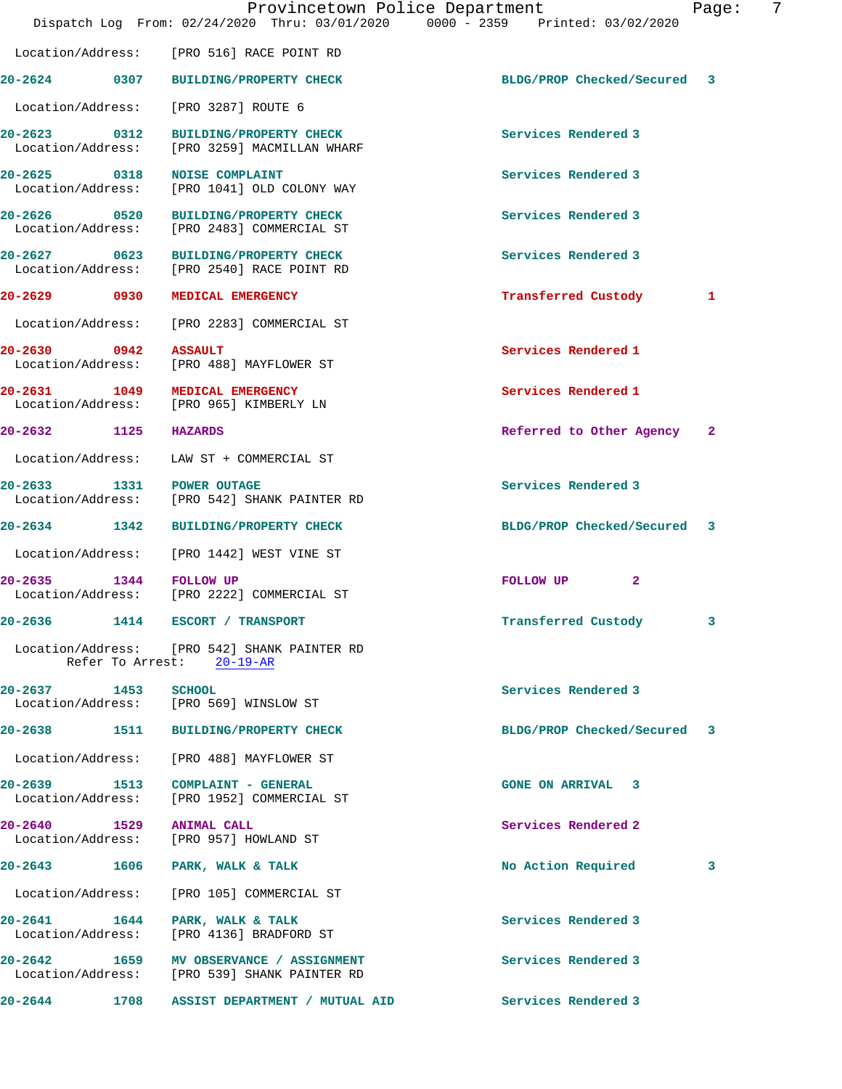|                                   | Provincetown Police Department<br>Dispatch Log From: 02/24/2020 Thru: 03/01/2020 0000 - 2359 Printed: 03/02/2020 |                                  | 7<br>Page: |
|-----------------------------------|------------------------------------------------------------------------------------------------------------------|----------------------------------|------------|
|                                   | Location/Address: [PRO 516] RACE POINT RD                                                                        |                                  |            |
|                                   | 20-2624 0307 BUILDING/PROPERTY CHECK                                                                             | BLDG/PROP Checked/Secured 3      |            |
|                                   | Location/Address: [PRO 3287] ROUTE 6                                                                             |                                  |            |
|                                   | 20-2623 0312 BUILDING/PROPERTY CHECK<br>Location/Address: [PRO 3259] MACMILLAN WHARF                             | Services Rendered 3              |            |
|                                   | 20-2625 0318 NOISE COMPLAINT<br>Location/Address: [PRO 1041] OLD COLONY WAY                                      | Services Rendered 3              |            |
|                                   | 20-2626 0520 BUILDING/PROPERTY CHECK<br>Location/Address: [PRO 2483] COMMERCIAL ST                               | Services Rendered 3              |            |
|                                   | 20-2627 0623 BUILDING/PROPERTY CHECK<br>Location/Address: [PRO 2540] RACE POINT RD                               | Services Rendered 3              |            |
| 20-2629 0930                      | MEDICAL EMERGENCY                                                                                                | Transferred Custody              | 1          |
|                                   | Location/Address: [PRO 2283] COMMERCIAL ST                                                                       |                                  |            |
| 20-2630 0942<br>Location/Address: | <b>ASSAULT</b><br>[PRO 488] MAYFLOWER ST                                                                         | Services Rendered 1              |            |
|                                   | 20-2631 1049 MEDICAL EMERGENCY<br>Location/Address: [PRO 965] KIMBERLY LN                                        | Services Rendered 1              |            |
| 20-2632 1125 HAZARDS              |                                                                                                                  | Referred to Other Agency 2       |            |
|                                   | Location/Address: LAW ST + COMMERCIAL ST                                                                         |                                  |            |
| 20-2633 1331 POWER OUTAGE         | Location/Address: [PRO 542] SHANK PAINTER RD                                                                     | Services Rendered 3              |            |
|                                   | 20-2634 1342 BUILDING/PROPERTY CHECK                                                                             | BLDG/PROP Checked/Secured 3      |            |
|                                   | Location/Address: [PRO 1442] WEST VINE ST                                                                        |                                  |            |
| 20-2635 1344 FOLLOW UP            | Location/Address: [PRO 2222] COMMERCIAL ST                                                                       | $\mathbf{2}$<br><b>FOLLOW UP</b> |            |
|                                   | 20-2636 1414 ESCORT / TRANSPORT                                                                                  | Transferred Custody              | 3          |
|                                   | Location/Address: [PRO 542] SHANK PAINTER RD<br>Refer To Arrest: 20-19-AR                                        |                                  |            |
| 20-2637 1453 SCHOOL               | Location/Address: [PRO 569] WINSLOW ST                                                                           | Services Rendered 3              |            |
|                                   | 20-2638 1511 BUILDING/PROPERTY CHECK                                                                             | BLDG/PROP Checked/Secured 3      |            |
|                                   | Location/Address: [PRO 488] MAYFLOWER ST                                                                         |                                  |            |
|                                   | 20-2639 1513 COMPLAINT - GENERAL<br>Location/Address: [PRO 1952] COMMERCIAL ST                                   | <b>GONE ON ARRIVAL 3</b>         |            |
| 20-2640 1529 ANIMAL CALL          | Location/Address: [PRO 957] HOWLAND ST                                                                           | Services Rendered 2              |            |
|                                   | 20-2643 1606 PARK, WALK & TALK                                                                                   | No Action Required               | 3          |
|                                   | Location/Address: [PRO 105] COMMERCIAL ST                                                                        |                                  |            |
| Location/Address:                 | 20-2641 1644 PARK, WALK & TALK<br>[PRO 4136] BRADFORD ST                                                         | Services Rendered 3              |            |
|                                   | 20-2642 1659 MV OBSERVANCE / ASSIGNMENT<br>Location/Address: [PRO 539] SHANK PAINTER RD                          | Services Rendered 3              |            |
|                                   | 20-2644 1708 ASSIST DEPARTMENT / MUTUAL AID                                                                      | Services Rendered 3              |            |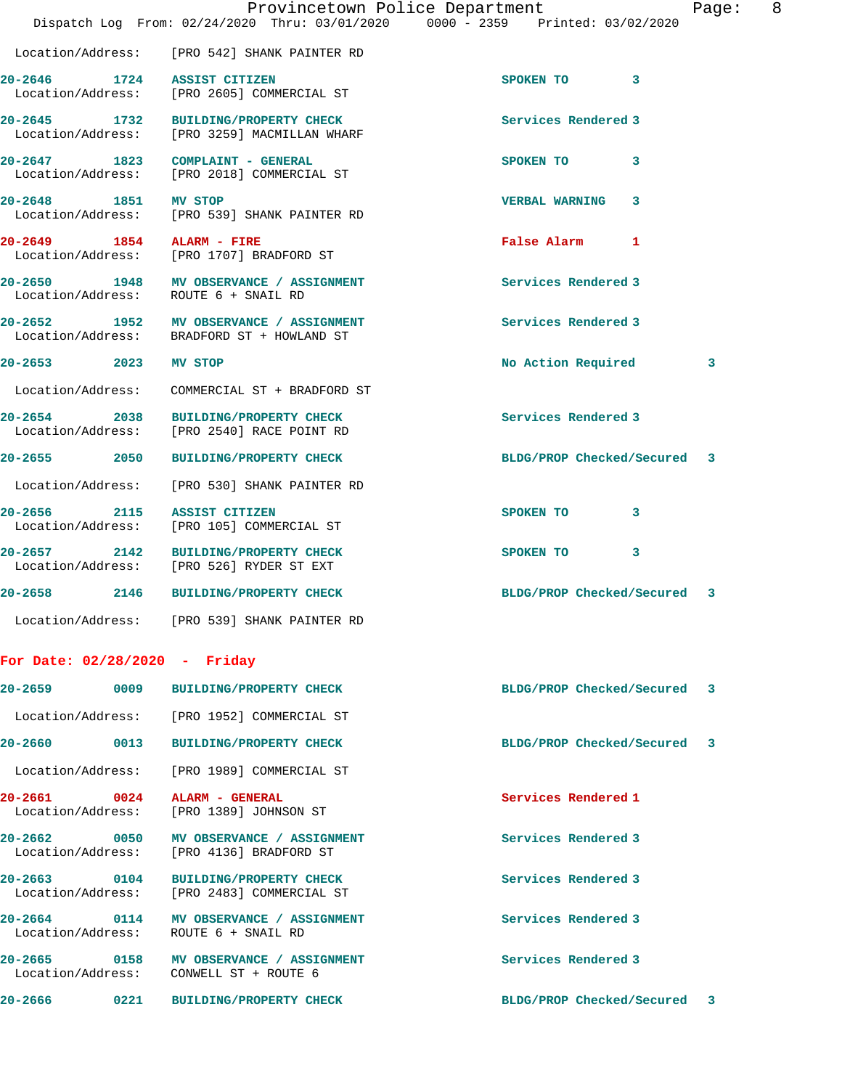|                                 |      | Provincetown Police Department<br>Dispatch Log From: 02/24/2020 Thru: 03/01/2020 0000 - 2359 Printed: 03/02/2020 |                             | Page: | 8 |
|---------------------------------|------|------------------------------------------------------------------------------------------------------------------|-----------------------------|-------|---|
|                                 |      | Location/Address: [PRO 542] SHANK PAINTER RD                                                                     |                             |       |   |
|                                 |      | 20-2646 1724 ASSIST CITIZEN<br>Location/Address: [PRO 2605] COMMERCIAL ST                                        | SPOKEN TO 3                 |       |   |
|                                 |      | 20-2645 1732 BUILDING/PROPERTY CHECK<br>Location/Address: [PRO 3259] MACMILLAN WHARF                             | Services Rendered 3         |       |   |
|                                 |      | 20-2647 1823 COMPLAINT - GENERAL<br>Location/Address: [PRO 2018] COMMERCIAL ST                                   | SPOKEN TO<br>3              |       |   |
| 20-2648 1851 MV STOP            |      | Location/Address: [PRO 539] SHANK PAINTER RD                                                                     | <b>VERBAL WARNING</b><br>3  |       |   |
| 20-2649 1854 ALARM - FIRE       |      | Location/Address: [PRO 1707] BRADFORD ST                                                                         | False Alarm 1               |       |   |
|                                 |      | 20-2650 1948 MV OBSERVANCE / ASSIGNMENT<br>Location/Address: ROUTE 6 + SNAIL RD                                  | Services Rendered 3         |       |   |
|                                 |      | 20-2652 1952 MV OBSERVANCE / ASSIGNMENT<br>Location/Address: BRADFORD ST + HOWLAND ST                            | Services Rendered 3         |       |   |
| 20-2653 2023                    |      | MV STOP                                                                                                          | No Action Required          | 3     |   |
|                                 |      | Location/Address: COMMERCIAL ST + BRADFORD ST                                                                    |                             |       |   |
| 20-2654 2038                    |      | <b>BUILDING/PROPERTY CHECK</b><br>Location/Address: [PRO 2540] RACE POINT RD                                     | Services Rendered 3         |       |   |
|                                 |      | 20-2655 2050 BUILDING/PROPERTY CHECK                                                                             | BLDG/PROP Checked/Secured 3 |       |   |
|                                 |      | Location/Address: [PRO 530] SHANK PAINTER RD                                                                     |                             |       |   |
|                                 |      | 20-2656 2115 ASSIST CITIZEN<br>Location/Address: [PRO 105] COMMERCIAL ST                                         | SPOKEN TO<br>3              |       |   |
|                                 |      | 20-2657 2142 BUILDING/PROPERTY CHECK<br>Location/Address: [PRO 526] RYDER ST EXT                                 | SPOKEN TO 3                 |       |   |
| $20 - 2658$                     | 2146 | <b>BUILDING/PROPERTY CHECK</b>                                                                                   | BLDG/PROP Checked/Secured 3 |       |   |
|                                 |      | Location/Address: [PRO 539] SHANK PAINTER RD                                                                     |                             |       |   |
| For Date: $02/28/2020 -$ Friday |      |                                                                                                                  |                             |       |   |
| 20-2659                         |      | 0009 BUILDING/PROPERTY CHECK                                                                                     | BLDG/PROP Checked/Secured   | -3    |   |
|                                 |      | Location/Address: [PRO 1952] COMMERCIAL ST                                                                       |                             |       |   |
| 20-2660                         |      | 0013 BUILDING/PROPERTY CHECK                                                                                     | BLDG/PROP Checked/Secured   | -3    |   |
|                                 |      | Location/Address: [PRO 1989] COMMERCIAL ST                                                                       |                             |       |   |
|                                 |      | 20-2661 0024 ALARM - GENERAL<br>Location/Address: [PRO 1389] JOHNSON ST                                          | Services Rendered 1         |       |   |
|                                 |      | 20-2662 0050 MV OBSERVANCE / ASSIGNMENT<br>Location/Address: [PRO 4136] BRADFORD ST                              | Services Rendered 3         |       |   |
|                                 |      | 20-2663 0104 BUILDING/PROPERTY CHECK<br>Location/Address: [PRO 2483] COMMERCIAL ST                               | Services Rendered 3         |       |   |
| Location/Address:               |      | 20-2664 0114 MV OBSERVANCE / ASSIGNMENT<br>ROUTE 6 + SNAIL RD                                                    | Services Rendered 3         |       |   |
|                                 |      | 20-2665 0158 MV OBSERVANCE / ASSIGNMENT<br>Location/Address: CONWELL ST + ROUTE 6                                | Services Rendered 3         |       |   |
| 20-2666                         |      | 0221 BUILDING/PROPERTY CHECK                                                                                     | BLDG/PROP Checked/Secured 3 |       |   |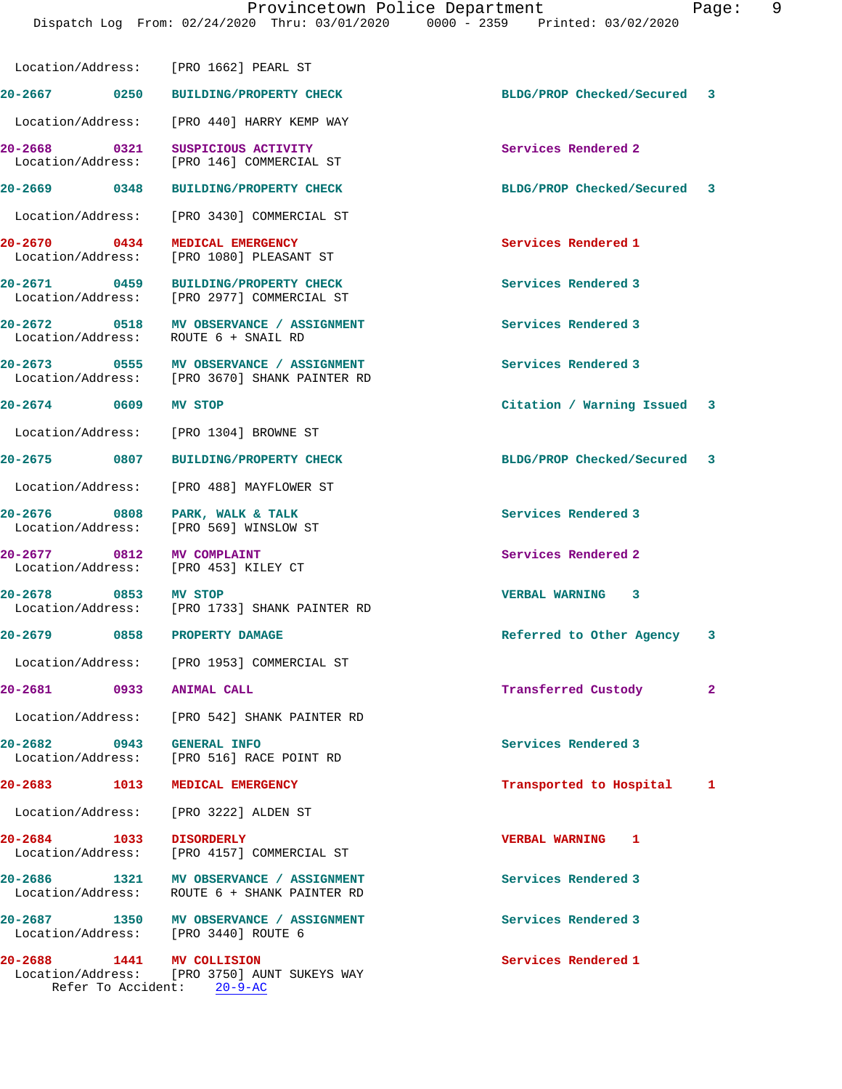Provincetown Police Department Page: 9 Dispatch Log From: 02/24/2020 Thru: 03/01/2020 0000 - 2359 Printed: 03/02/2020 Location/Address: [PRO 1662] PEARL ST **20-2667 0250 BUILDING/PROPERTY CHECK BLDG/PROP Checked/Secured 3** Location/Address: [PRO 440] HARRY KEMP WAY **20-2668 0321 SUSPICIOUS ACTIVITY Services Rendered 2**  Location/Address: [PRO 146] COMMERCIAL ST **20-2669 0348 BUILDING/PROPERTY CHECK BLDG/PROP Checked/Secured 3** Location/Address: [PRO 3430] COMMERCIAL ST **20-2670 0434 MEDICAL EMERGENCY Services Rendered 1**  Location/Address: [PRO 1080] PLEASANT ST **20-2671 0459 BUILDING/PROPERTY CHECK Services Rendered 3**  Location/Address: [PRO 2977] COMMERCIAL ST **20-2672 0518 MV OBSERVANCE / ASSIGNMENT Services Rendered 3**  Location/Address: ROUTE 6 + SNAIL RD **20-2673 0555 MV OBSERVANCE / ASSIGNMENT Services Rendered 3**  [PRO 3670] SHANK PAINTER RD **20-2674 0609 MV STOP Citation / Warning Issued 3** Location/Address: [PRO 1304] BROWNE ST **20-2675 0807 BUILDING/PROPERTY CHECK BLDG/PROP Checked/Secured 3** Location/Address: [PRO 488] MAYFLOWER ST **20-2676 0808 PARK, WALK & TALK Services Rendered 3**  Location/Address: [PRO 569] WINSLOW ST **20-2677 0812 MV COMPLAINT Services Rendered 2**  Location/Address: [PRO 453] KILEY CT **20-2678 0853 MV STOP VERBAL WARNING 3**  Location/Address: [PRO 1733] SHANK PAINTER RD **20-2679 0858 PROPERTY DAMAGE Referred to Other Agency 3** Location/Address: [PRO 1953] COMMERCIAL ST **20-2681 0933 ANIMAL CALL Transferred Custody 2** Location/Address: [PRO 542] SHANK PAINTER RD **20-2682 0943 GENERAL INFO Services Rendered 3**  Location/Address: [PRO 516] RACE POINT RD **20-2683 1013 MEDICAL EMERGENCY Transported to Hospital 1** Location/Address: [PRO 3222] ALDEN ST **20-2684 1033 DISORDERLY VERBAL WARNING 1** 

Location/Address: [PRO 4157] COMMERCIAL ST

**20-2686 1321 MV OBSERVANCE / ASSIGNMENT Services Rendered 3**  Location/Address: ROUTE 6 + SHANK PAINTER RD

**20-2687 1350 MV OBSERVANCE / ASSIGNMENT Services Rendered 3**  Location/Address: [PRO 3440] ROUTE 6

**20-2688 1441 MV COLLISION Services Rendered 1**  [PRO 3750] AUNT SUKEYS WAY Refer To Accident: 20-9-AC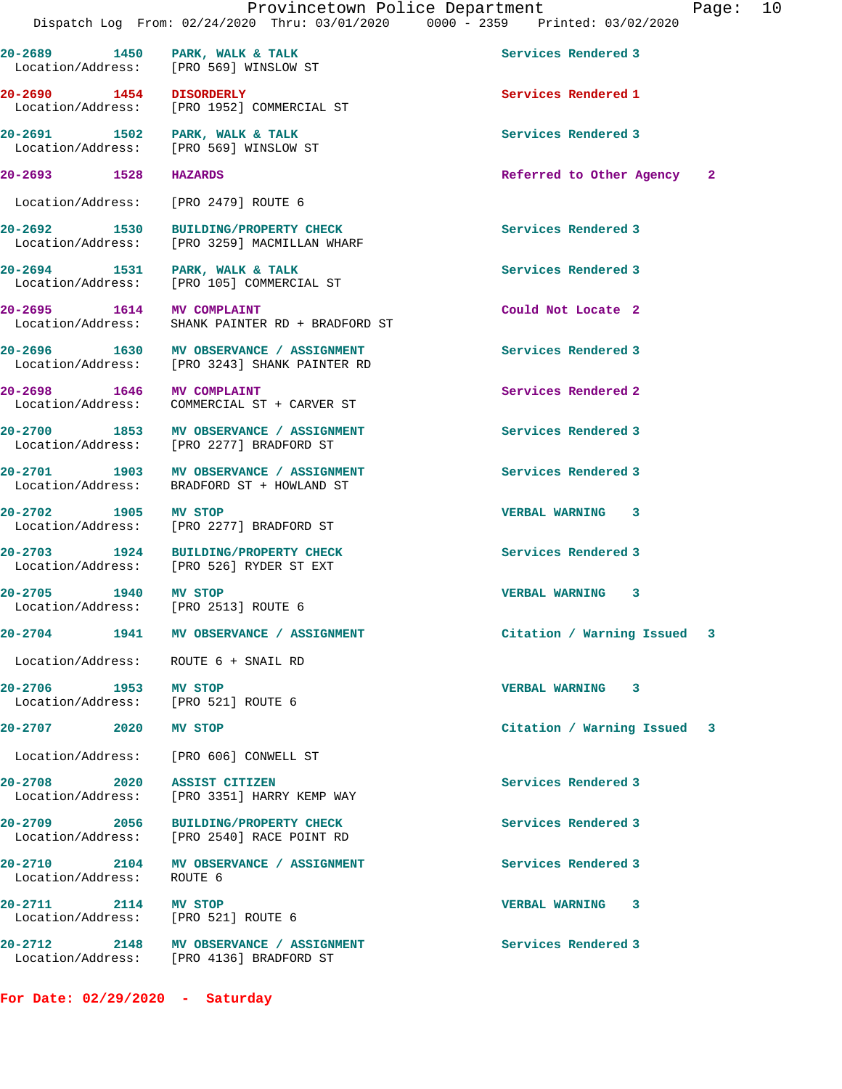20-2689 1450 PARK, WALK & TALK **Services Rendered 3** 

 Location/Address: [PRO 569] WINSLOW ST **20-2690 1454 DISORDERLY Services Rendered 1**  Location/Address: [PRO 1952] COMMERCIAL ST **20-2691 1502 PARK, WALK & TALK Services Rendered 3**  Location/Address: [PRO 569] WINSLOW ST **20-2693 1528 HAZARDS Referred to Other Agency 2** Location/Address: [PRO 2479] ROUTE 6 **20-2692 1530 BUILDING/PROPERTY CHECK Services Rendered 3**  Location/Address: [PRO 3259] MACMILLAN WHARF 20-2694 1531 PARK, WALK & TALK **Services Rendered 3**  Location/Address: [PRO 105] COMMERCIAL ST **20-2695 1614 MV COMPLAINT Could Not Locate 2**  Location/Address: SHANK PAINTER RD + BRADFORD ST **20-2696 1630 MV OBSERVANCE / ASSIGNMENT Services Rendered 3**  Location/Address: [PRO 3243] SHANK PAINTER RD **20-2698 1646 MV COMPLAINT Services Rendered 2**  Location/Address: COMMERCIAL ST + CARVER ST **20-2700 1853 MV OBSERVANCE / ASSIGNMENT Services Rendered 3**  Location/Address: [PRO 2277] BRADFORD ST **20-2701 1903 MV OBSERVANCE / ASSIGNMENT Services Rendered 3**  Location/Address: BRADFORD ST + HOWLAND ST **20-2702 1905 MV STOP VERBAL WARNING 3**  Location/Address: [PRO 2277] BRADFORD ST 20-2703 1924 BUILDING/PROPERTY CHECK Services Rendered 3<br>
Location/Address: [PRO 526] RYDER ST EXT [PRO 526] RYDER ST EXT **20-2705 1940 MV STOP VERBAL WARNING 3**  Location/Address: [PRO 2513] ROUTE 6 **20-2704 1941 MV OBSERVANCE / ASSIGNMENT Citation / Warning Issued 3** Location/Address: ROUTE 6 + SNAIL RD **20-2706 1953 MV STOP VERBAL WARNING 3**  Location/Address: **20-2707 2020 MV STOP Citation / Warning Issued 3** Location/Address: [PRO 606] CONWELL ST **20-2708 2020 ASSIST CITIZEN Services Rendered 3**  [PRO 3351] HARRY KEMP WAY **20-2709 2056 BUILDING/PROPERTY CHECK Services Rendered 3**  Location/Address: [PRO 2540] RACE POINT RD **20-2710 2104 MV OBSERVANCE / ASSIGNMENT Services Rendered 3**  Location/Address: ROUTE 6 **20-2711 2114 MV STOP VERBAL WARNING 3**  Location/Address: [PRO 521] ROUTE 6 **20-2712 2148 MV OBSERVANCE / ASSIGNMENT Services Rendered 3**  Location/Address: [PRO 4136] BRADFORD ST

**For Date: 02/29/2020 - Saturday**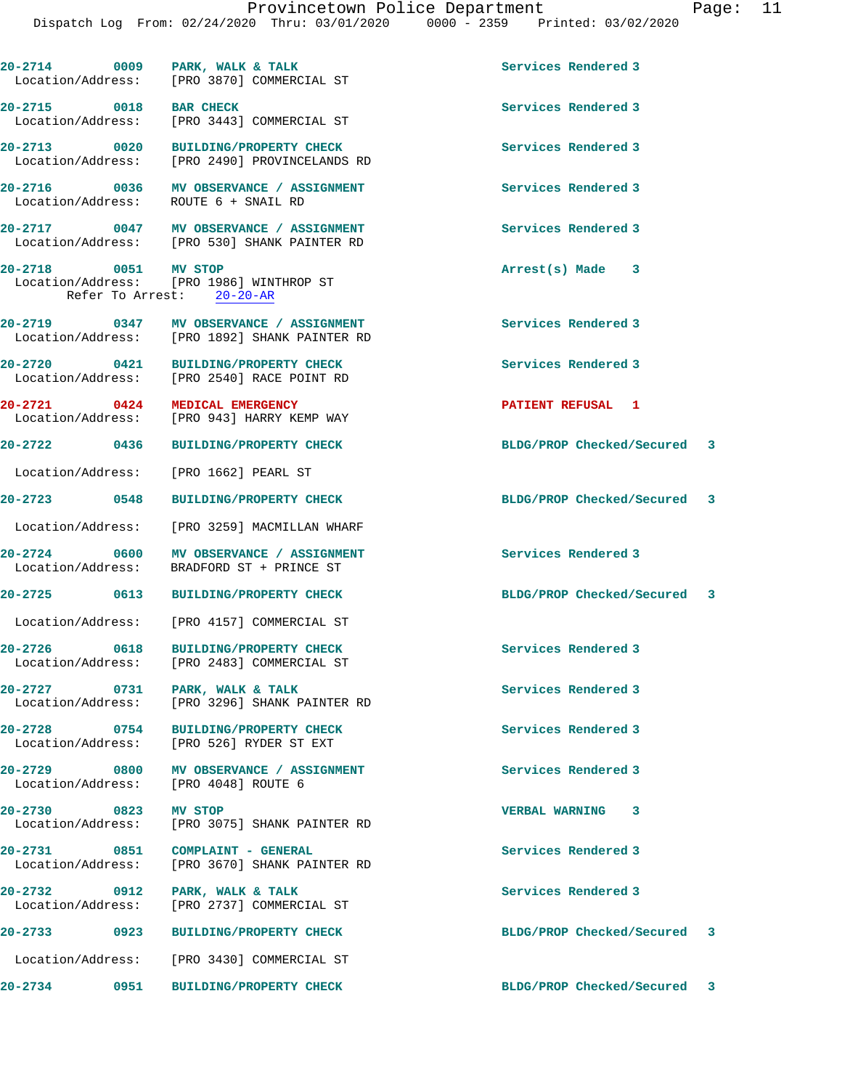|                                   |      | 20-2714 0009 PARK, WALK & TALK<br>Location/Address: [PRO 3870] COMMERCIAL ST             | Services Rendered 3         |  |
|-----------------------------------|------|------------------------------------------------------------------------------------------|-----------------------------|--|
| 20-2715 0018 BAR CHECK            |      | Location/Address: [PRO 3443] COMMERCIAL ST                                               | Services Rendered 3         |  |
|                                   |      | 20-2713 0020 BUILDING/PROPERTY CHECK<br>Location/Address: [PRO 2490] PROVINCELANDS RD    | Services Rendered 3         |  |
|                                   |      | 20-2716 0036 MV OBSERVANCE / ASSIGNMENT<br>Location/Address: ROUTE 6 + SNAIL RD          | Services Rendered 3         |  |
|                                   |      | 20-2717 0047 MV OBSERVANCE / ASSIGNMENT<br>Location/Address: [PRO 530] SHANK PAINTER RD  | Services Rendered 3         |  |
| 20-2718 0051 MV STOP              |      | Location/Address: [PRO 1986] WINTHROP ST<br>Refer To Arrest: 20-20-AR                    | Arrest(s) Made 3            |  |
|                                   |      | 20-2719 0347 MV OBSERVANCE / ASSIGNMENT<br>Location/Address: [PRO 1892] SHANK PAINTER RD | Services Rendered 3         |  |
|                                   |      | 20-2720 0421 BUILDING/PROPERTY CHECK<br>Location/Address: [PRO 2540] RACE POINT RD       | Services Rendered 3         |  |
| 20-2721 0424                      |      | <b>MEDICAL EMERGENCY</b><br>Location/Address: [PRO 943] HARRY KEMP WAY                   | PATIENT REFUSAL 1           |  |
|                                   |      | 20-2722 0436 BUILDING/PROPERTY CHECK                                                     | BLDG/PROP Checked/Secured 3 |  |
|                                   |      | Location/Address: [PRO 1662] PEARL ST                                                    |                             |  |
| 20-2723 0548                      |      | BUILDING/PROPERTY CHECK                                                                  | BLDG/PROP Checked/Secured 3 |  |
|                                   |      | Location/Address: [PRO 3259] MACMILLAN WHARF                                             |                             |  |
|                                   |      | 20-2724 0600 MV OBSERVANCE / ASSIGNMENT<br>Location/Address: BRADFORD ST + PRINCE ST     | Services Rendered 3         |  |
|                                   |      | 20-2725 0613 BUILDING/PROPERTY CHECK                                                     | BLDG/PROP Checked/Secured 3 |  |
|                                   |      | Location/Address: [PRO 4157] COMMERCIAL ST                                               |                             |  |
| 20-2726 0618<br>Location/Address: |      | BUILDING/PROPERTY CHECK<br>[PRO 2483] COMMERCIAL ST                                      | Services Rendered 3         |  |
|                                   |      | 20-2727 0731 PARK, WALK & TALK<br>Location/Address: [PRO 3296] SHANK PAINTER RD          | Services Rendered 3         |  |
| 20-2728 0754                      |      | BUILDING/PROPERTY CHECK<br>Location/Address: [PRO 526] RYDER ST EXT                      | Services Rendered 3         |  |
|                                   |      | 20-2729 0800 MV OBSERVANCE / ASSIGNMENT<br>Location/Address: [PRO 4048] ROUTE 6          | Services Rendered 3         |  |
| 20-2730 0823 MV STOP              |      | Location/Address: [PRO 3075] SHANK PAINTER RD                                            | VERBAL WARNING 3            |  |
|                                   |      | 20-2731 0851 COMPLAINT - GENERAL<br>Location/Address: [PRO 3670] SHANK PAINTER RD        | Services Rendered 3         |  |
| 20-2732 0912                      |      | PARK, WALK & TALK<br>Location/Address: [PRO 2737] COMMERCIAL ST                          | Services Rendered 3         |  |
| 20-2733                           |      | 0923 BUILDING/PROPERTY CHECK                                                             | BLDG/PROP Checked/Secured 3 |  |
|                                   |      | Location/Address: [PRO 3430] COMMERCIAL ST                                               |                             |  |
| $20 - 2734$                       | 0951 | <b>BUILDING/PROPERTY CHECK</b>                                                           | BLDG/PROP Checked/Secured 3 |  |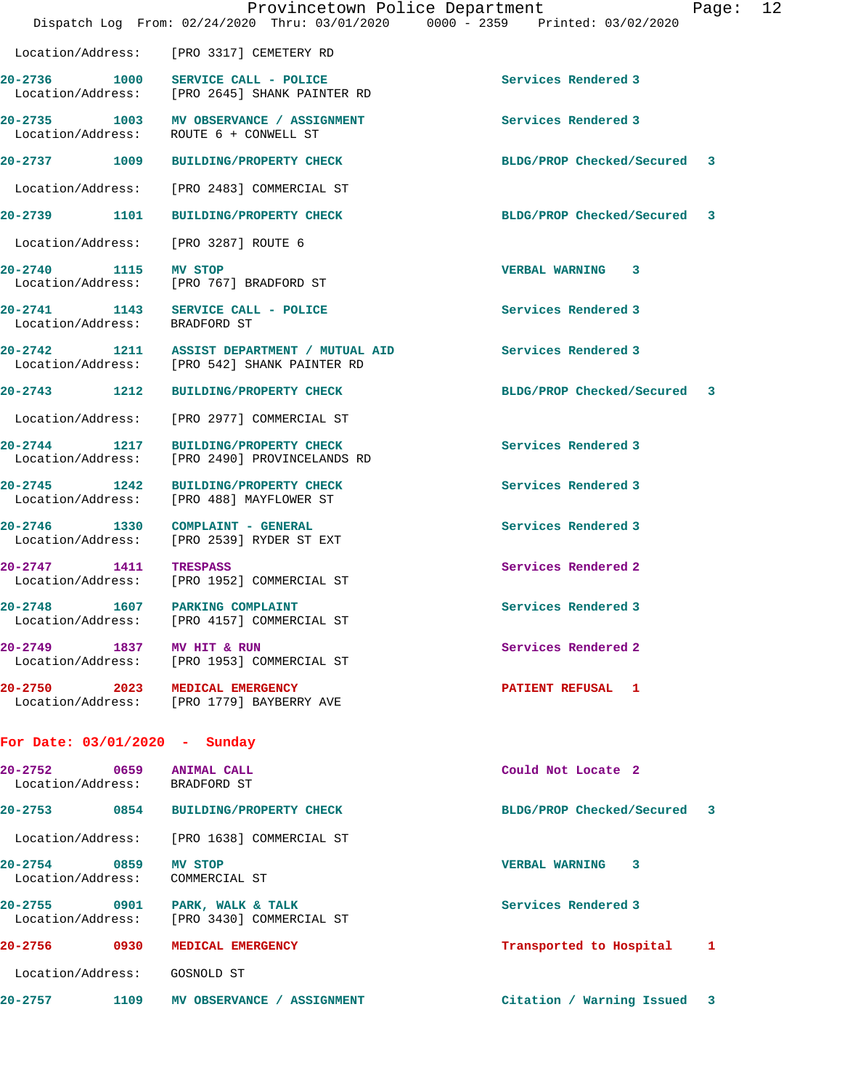|                                                           |      | Provincetown Police Department<br>Dispatch Log From: 02/24/2020 Thru: 03/01/2020 0000 - 2359 Printed: 03/02/2020 |                             | Page: | 12 |
|-----------------------------------------------------------|------|------------------------------------------------------------------------------------------------------------------|-----------------------------|-------|----|
|                                                           |      | Location/Address: [PRO 3317] CEMETERY RD                                                                         |                             |       |    |
|                                                           |      | 20-2736 1000 SERVICE CALL - POLICE<br>Location/Address: [PRO 2645] SHANK PAINTER RD                              | Services Rendered 3         |       |    |
| Location/Address:                                         |      | 20-2735 1003 MV OBSERVANCE / ASSIGNMENT<br>ROUTE 6 + CONWELL ST                                                  | Services Rendered 3         |       |    |
|                                                           |      | 20-2737 1009 BUILDING/PROPERTY CHECK                                                                             | BLDG/PROP Checked/Secured 3 |       |    |
| Location/Address:                                         |      | [PRO 2483] COMMERCIAL ST                                                                                         |                             |       |    |
| 20-2739 1101                                              |      | <b>BUILDING/PROPERTY CHECK</b>                                                                                   | BLDG/PROP Checked/Secured 3 |       |    |
| Location/Address:                                         |      | [PRO 3287] ROUTE 6                                                                                               |                             |       |    |
| 20-2740 1115<br>Location/Address:                         |      | MV STOP<br>[PRO 767] BRADFORD ST                                                                                 | <b>VERBAL WARNING 3</b>     |       |    |
| $20 - 2741$<br>Location/Address: BRADFORD ST              |      | 1143 SERVICE CALL - POLICE                                                                                       | Services Rendered 3         |       |    |
|                                                           |      | 20-2742 1211 ASSIST DEPARTMENT / MUTUAL AID<br>Location/Address: [PRO 542] SHANK PAINTER RD                      | Services Rendered 3         |       |    |
| 20-2743 1212                                              |      | <b>BUILDING/PROPERTY CHECK</b>                                                                                   | BLDG/PROP Checked/Secured 3 |       |    |
| Location/Address:                                         |      | [PRO 2977] COMMERCIAL ST                                                                                         |                             |       |    |
| 20-2744 1217<br>Location/Address:                         |      | <b>BUILDING/PROPERTY CHECK</b><br>[PRO 2490] PROVINCELANDS RD                                                    | Services Rendered 3         |       |    |
| 20-2745 1242<br>Location/Address:                         |      | <b>BUILDING/PROPERTY CHECK</b><br>[PRO 488] MAYFLOWER ST                                                         | Services Rendered 3         |       |    |
| $20 - 2746$                                               |      | 1330 COMPLAINT - GENERAL<br>Location/Address: [PRO 2539] RYDER ST EXT                                            | Services Rendered 3         |       |    |
| $20 - 2747$<br>Location/Address:                          | 1411 | TRESPASS<br>[PRO 1952] COMMERCIAL ST                                                                             | Services Rendered 2         |       |    |
| $20 - 2748$                                               |      | 1607 PARKING COMPLAINT<br>Location/Address: [PRO 4157] COMMERCIAL ST                                             | Services Rendered 3         |       |    |
| 20-2749 1837 MV HIT & RUN                                 |      | Location/Address: [PRO 1953] COMMERCIAL ST                                                                       | Services Rendered 2         |       |    |
|                                                           |      | 20-2750 2023 MEDICAL EMERGENCY<br>Location/Address: [PRO 1779] BAYBERRY AVE                                      | PATIENT REFUSAL 1           |       |    |
| For Date: $03/01/2020 -$ Sunday                           |      |                                                                                                                  |                             |       |    |
| 20-2752 0659 ANIMAL CALL<br>Location/Address: BRADFORD ST |      |                                                                                                                  | Could Not Locate 2          |       |    |
|                                                           |      | 20-2753 0854 BUILDING/PROPERTY CHECK                                                                             | BLDG/PROP Checked/Secured 3 |       |    |
|                                                           |      | Location/Address: [PRO 1638] COMMERCIAL ST                                                                       |                             |       |    |
| 20-2754 0859<br>Location/Address:                         |      | <b>MV STOP</b><br>COMMERCIAL ST                                                                                  | VERBAL WARNING 3            |       |    |
|                                                           |      | 20-2755 0901 PARK, WALK & TALK<br>Location/Address: [PRO 3430] COMMERCIAL ST                                     | Services Rendered 3         |       |    |
|                                                           |      | 20-2756 0930 MEDICAL EMERGENCY                                                                                   | Transported to Hospital 1   |       |    |
| Location/Address: GOSNOLD ST                              |      |                                                                                                                  |                             |       |    |
|                                                           |      | 20-2757 1109 MV OBSERVANCE / ASSIGNMENT                                                                          | Citation / Warning Issued 3 |       |    |
|                                                           |      |                                                                                                                  |                             |       |    |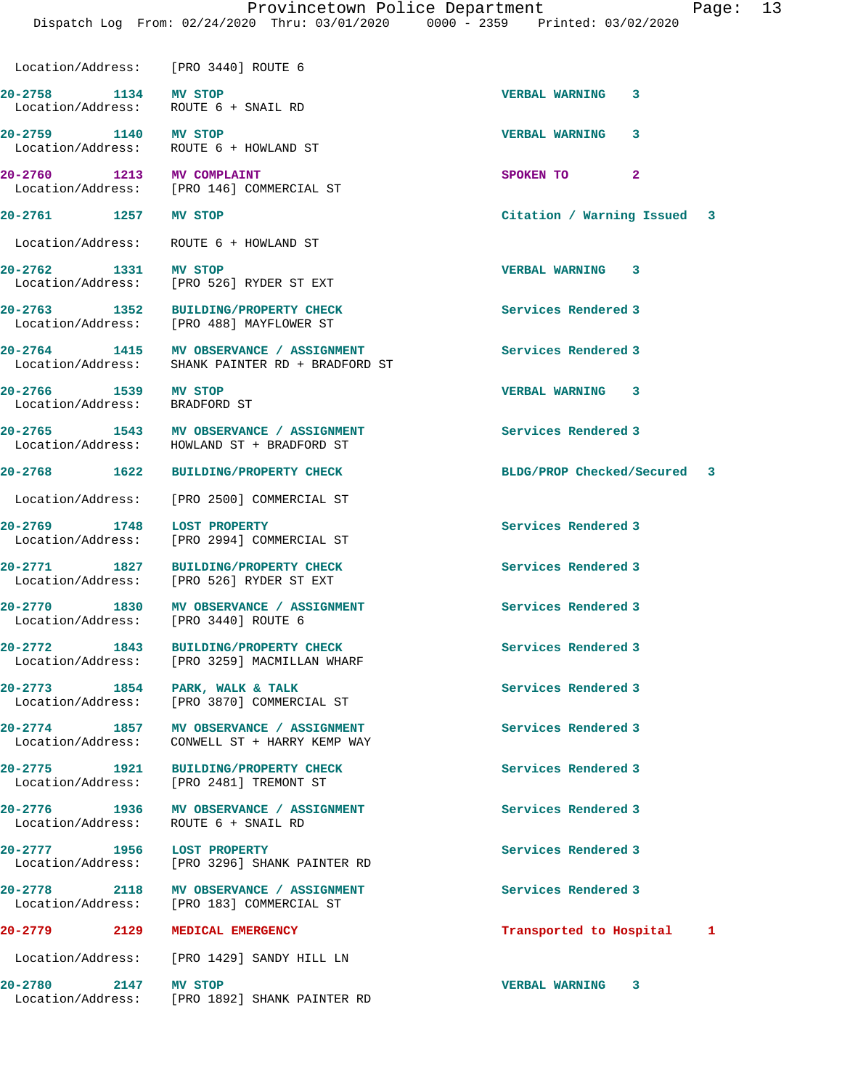## Provincetown Police Department Fage: 13

Dispatch Log From: 02/24/2020 Thru: 03/01/2020 0000 - 2359 Printed: 03/02/2020

Location/Address: [PRO 3440] ROUTE 6

**20-2758 1134 MV STOP VERBAL WARNING 3**  Location/Address: ROUTE 6 + SNAIL RD

**20-2759 1140 MV STOP VERBAL WARNING 3**  Location/Address: ROUTE 6 + HOWLAND ST

**20-2760 1213 MV COMPLAINT 1213 SPOKEN TO** 2<br>
Location/Address: [PRO 146] COMMERCIAL ST [PRO 146] COMMERCIAL ST

Location/Address: ROUTE 6 + HOWLAND ST

**20-2762 1331 MV STOP VERBAL WARNING 3**  Location/Address: [PRO 526] RYDER ST EXT

**20-2763 1352 BUILDING/PROPERTY CHECK Services Rendered 3**  Location/Address: [PRO 488] MAYFLOWER ST

**20-2764 1415 MV OBSERVANCE / ASSIGNMENT Services Rendered 3**  Location/Address: SHANK PAINTER RD + BRADFORD ST

Location/Address: BRADFORD ST

**20-2769 1748 LOST PROPERTY Services Rendered 3** 

Location/Address: ROUTE 6 + SNAIL RD

**20-2765 1543 MV OBSERVANCE / ASSIGNMENT Services Rendered 3**  Location/Address: HOWLAND ST + BRADFORD ST

Location/Address: [PRO 2500] COMMERCIAL ST

Location/Address: [PRO 2994] COMMERCIAL ST

**20-2771 1827 BUILDING/PROPERTY CHECK Services Rendered 3**  Location/Address: [PRO 526] RYDER ST EXT

**20-2770 1830 MV OBSERVANCE / ASSIGNMENT Services Rendered 3**  Location/Address: [PRO 3440] ROUTE 6

**20-2772 1843 BUILDING/PROPERTY CHECK Services Rendered 3**  Location/Address: [PRO 3259] MACMILLAN WHARF

20-2773 1854 PARK, WALK & TALK **Services Rendered 3** Location/Address: [PRO 3870] COMMERCIAL ST

**20-2774 1857 MV OBSERVANCE / ASSIGNMENT Services Rendered 3**  Location/Address: CONWELL ST + HARRY KEMP WAY

**20-2775 1921 BUILDING/PROPERTY CHECK Services Rendered 3**  Location/Address: [PRO 2481] TREMONT ST

20-2776 1936 MV OBSERVANCE / ASSIGNMENT **Services Rendered 3** 

**20-2777 1956 LOST PROPERTY Services Rendered 3**  [PRO 3296] SHANK PAINTER RD

**20-2778 2118 MV OBSERVANCE / ASSIGNMENT Services Rendered 3**  Location/Address: [PRO 183] COMMERCIAL ST

Location/Address: [PRO 1429] SANDY HILL LN

**20-2780 2147 MV STOP VERBAL WARNING 3**  [PRO 1892] SHANK PAINTER RD

**20-2761 1257 MV STOP Citation / Warning Issued 3**

**20-2766 1539 MV STOP VERBAL WARNING 3** 

**20-2768 1622 BUILDING/PROPERTY CHECK BLDG/PROP Checked/Secured 3**

**20-2779 2129 MEDICAL EMERGENCY Transported to Hospital 1**